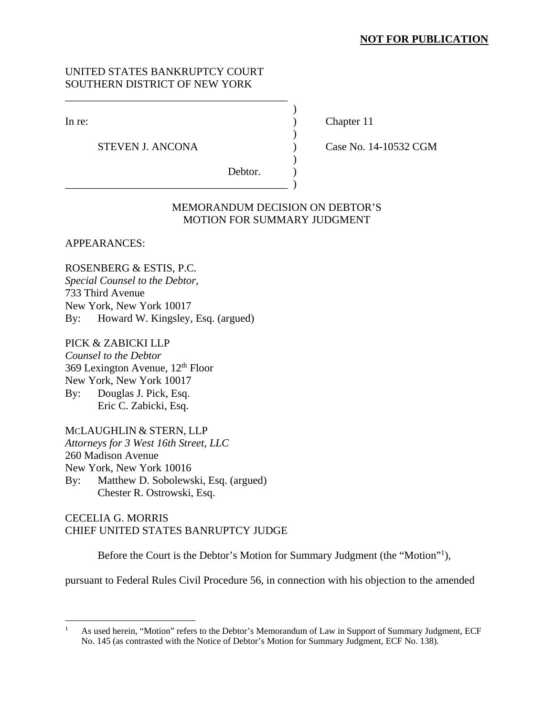## **NOT FOR PUBLICATION**

# UNITED STATES BANKRUPTCY COURT SOUTHERN DISTRICT OF NEW YORK

\_\_\_\_\_\_\_\_\_\_\_\_\_\_\_\_\_\_\_\_\_\_\_\_\_\_\_\_\_\_\_\_\_\_\_\_\_\_\_\_\_  $)$ 

 $)$ 

 $)$ 

\_\_\_\_\_\_\_\_\_\_\_\_\_\_\_\_\_\_\_\_\_\_\_\_\_\_\_\_\_\_\_\_\_\_\_\_\_\_\_\_\_ )

In re: Chapter 11

STEVEN J. ANCONA (2008) Case No. 14-10532 CGM

Debtor.

## MEMORANDUM DECISION ON DEBTOR'S MOTION FOR SUMMARY JUDGMENT

APPEARANCES:

## ROSENBERG & ESTIS, P.C.

*Special Counsel to the Debtor,*  733 Third Avenue New York, New York 10017 By: Howard W. Kingsley, Esq. (argued)

PICK & ZABICKI LLP *Counsel to the Debtor*  369 Lexington Avenue, 12th Floor New York, New York 10017 By: Douglas J. Pick, Esq. Eric C. Zabicki, Esq.

# MCLAUGHLIN & STERN, LLP

1

*Attorneys for 3 West 16th Street, LLC*  260 Madison Avenue New York, New York 10016 By: Matthew D. Sobolewski, Esq. (argued) Chester R. Ostrowski, Esq.

CECELIA G. MORRIS CHIEF UNITED STATES BANRUPTCY JUDGE

Before the Court is the Debtor's Motion for Summary Judgment (the "Motion"1 ),

pursuant to Federal Rules Civil Procedure 56, in connection with his objection to the amended

<sup>1</sup> As used herein, "Motion" refers to the Debtor's Memorandum of Law in Support of Summary Judgment, ECF No. 145 (as contrasted with the Notice of Debtor's Motion for Summary Judgment, ECF No. 138).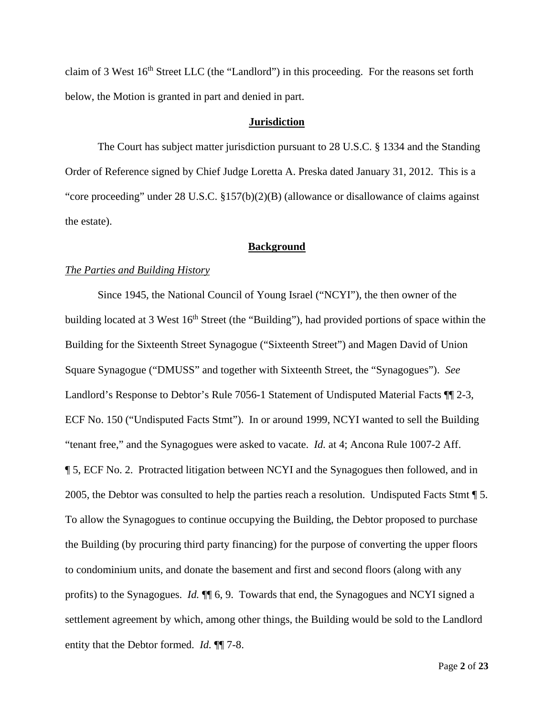claim of 3 West 16<sup>th</sup> Street LLC (the "Landlord") in this proceeding. For the reasons set forth below, the Motion is granted in part and denied in part.

#### **Jurisdiction**

The Court has subject matter jurisdiction pursuant to 28 U.S.C. § 1334 and the Standing Order of Reference signed by Chief Judge Loretta A. Preska dated January 31, 2012. This is a "core proceeding" under 28 U.S.C. §157(b)(2)(B) (allowance or disallowance of claims against the estate).

### **Background**

#### *The Parties and Building History*

Since 1945, the National Council of Young Israel ("NCYI"), the then owner of the building located at 3 West  $16<sup>th</sup>$  Street (the "Building"), had provided portions of space within the Building for the Sixteenth Street Synagogue ("Sixteenth Street") and Magen David of Union Square Synagogue ("DMUSS" and together with Sixteenth Street, the "Synagogues"). *See*  Landlord's Response to Debtor's Rule 7056-1 Statement of Undisputed Material Facts ¶¶ 2-3, ECF No. 150 ("Undisputed Facts Stmt"). In or around 1999, NCYI wanted to sell the Building "tenant free," and the Synagogues were asked to vacate. *Id.* at 4; Ancona Rule 1007-2 Aff. ¶ 5, ECF No. 2. Protracted litigation between NCYI and the Synagogues then followed, and in 2005, the Debtor was consulted to help the parties reach a resolution. Undisputed Facts Stmt ¶ 5. To allow the Synagogues to continue occupying the Building, the Debtor proposed to purchase the Building (by procuring third party financing) for the purpose of converting the upper floors to condominium units, and donate the basement and first and second floors (along with any profits) to the Synagogues. *Id.* ¶¶ 6, 9. Towards that end, the Synagogues and NCYI signed a settlement agreement by which, among other things, the Building would be sold to the Landlord entity that the Debtor formed. *Id.* ¶¶ 7-8.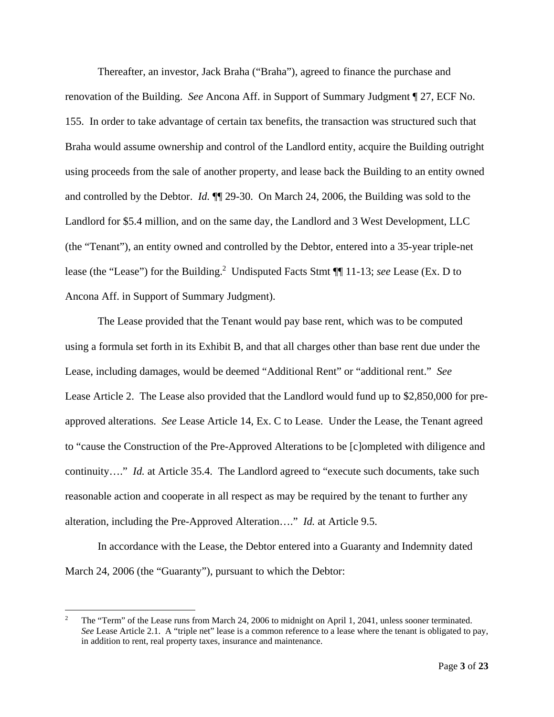Thereafter, an investor, Jack Braha ("Braha"), agreed to finance the purchase and renovation of the Building. *See* Ancona Aff. in Support of Summary Judgment ¶ 27, ECF No. 155. In order to take advantage of certain tax benefits, the transaction was structured such that Braha would assume ownership and control of the Landlord entity, acquire the Building outright using proceeds from the sale of another property, and lease back the Building to an entity owned and controlled by the Debtor. *Id.* ¶¶ 29-30. On March 24, 2006, the Building was sold to the Landlord for \$5.4 million, and on the same day, the Landlord and 3 West Development, LLC (the "Tenant"), an entity owned and controlled by the Debtor, entered into a 35-year triple-net lease (the "Lease") for the Building.<sup>2</sup> Undisputed Facts Stmt ¶ 11-13; *see* Lease (Ex. D to Ancona Aff. in Support of Summary Judgment).

The Lease provided that the Tenant would pay base rent, which was to be computed using a formula set forth in its Exhibit B, and that all charges other than base rent due under the Lease, including damages, would be deemed "Additional Rent" or "additional rent." *See* Lease Article 2. The Lease also provided that the Landlord would fund up to \$2,850,000 for preapproved alterations. *See* Lease Article 14, Ex. C to Lease. Under the Lease, the Tenant agreed to "cause the Construction of the Pre-Approved Alterations to be [c]ompleted with diligence and continuity…." *Id.* at Article 35.4. The Landlord agreed to "execute such documents, take such reasonable action and cooperate in all respect as may be required by the tenant to further any alteration, including the Pre-Approved Alteration…." *Id.* at Article 9.5.

In accordance with the Lease, the Debtor entered into a Guaranty and Indemnity dated March 24, 2006 (the "Guaranty"), pursuant to which the Debtor:

 $\overline{a}$ 

<sup>2</sup> The "Term" of the Lease runs from March 24, 2006 to midnight on April 1, 2041, unless sooner terminated. *See* Lease Article 2.1. A "triple net" lease is a common reference to a lease where the tenant is obligated to pay, in addition to rent, real property taxes, insurance and maintenance.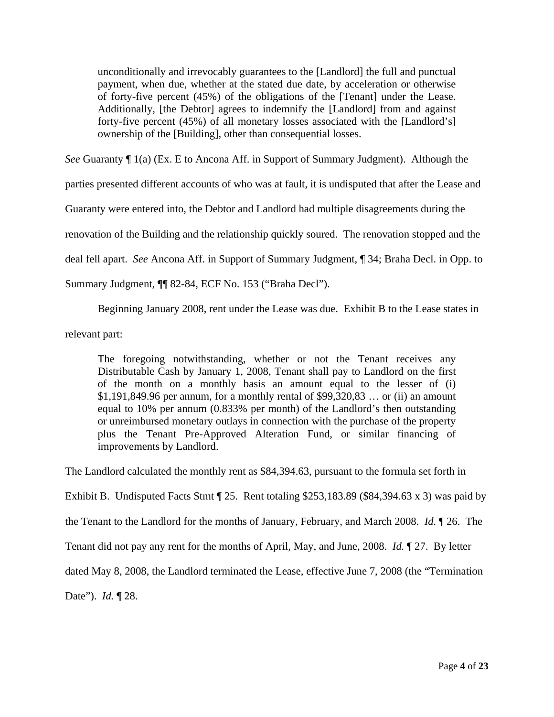unconditionally and irrevocably guarantees to the [Landlord] the full and punctual payment, when due, whether at the stated due date, by acceleration or otherwise of forty-five percent (45%) of the obligations of the [Tenant] under the Lease. Additionally, [the Debtor] agrees to indemnify the [Landlord] from and against forty-five percent (45%) of all monetary losses associated with the [Landlord's] ownership of the [Building], other than consequential losses.

*See* Guaranty  $\P$  1(a) (Ex. E to Ancona Aff. in Support of Summary Judgment). Although the

parties presented different accounts of who was at fault, it is undisputed that after the Lease and

Guaranty were entered into, the Debtor and Landlord had multiple disagreements during the

renovation of the Building and the relationship quickly soured. The renovation stopped and the

deal fell apart. *See* Ancona Aff. in Support of Summary Judgment, ¶ 34; Braha Decl. in Opp. to

Summary Judgment, ¶¶ 82-84, ECF No. 153 ("Braha Decl").

Beginning January 2008, rent under the Lease was due. Exhibit B to the Lease states in

relevant part:

The foregoing notwithstanding, whether or not the Tenant receives any Distributable Cash by January 1, 2008, Tenant shall pay to Landlord on the first of the month on a monthly basis an amount equal to the lesser of (i) \$1,191,849.96 per annum, for a monthly rental of \$99,320,83 … or (ii) an amount equal to 10% per annum (0.833% per month) of the Landlord's then outstanding or unreimbursed monetary outlays in connection with the purchase of the property plus the Tenant Pre-Approved Alteration Fund, or similar financing of improvements by Landlord.

The Landlord calculated the monthly rent as \$84,394.63, pursuant to the formula set forth in

Exhibit B. Undisputed Facts Stmt  $\parallel$  25. Rent totaling \$253,183.89 (\$84,394.63 x 3) was paid by

the Tenant to the Landlord for the months of January, February, and March 2008. *Id.* ¶ 26. The

Tenant did not pay any rent for the months of April, May, and June, 2008. *Id.* ¶ 27. By letter

dated May 8, 2008, the Landlord terminated the Lease, effective June 7, 2008 (the "Termination

Date"). *Id.* ¶ 28.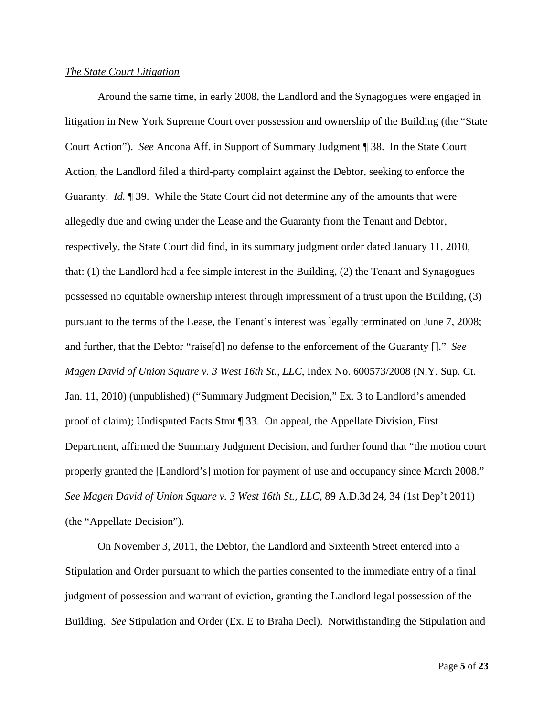### *The State Court Litigation*

Around the same time, in early 2008, the Landlord and the Synagogues were engaged in litigation in New York Supreme Court over possession and ownership of the Building (the "State Court Action"). *See* Ancona Aff. in Support of Summary Judgment ¶ 38. In the State Court Action, the Landlord filed a third-party complaint against the Debtor, seeking to enforce the Guaranty. *Id.* ¶ 39. While the State Court did not determine any of the amounts that were allegedly due and owing under the Lease and the Guaranty from the Tenant and Debtor, respectively, the State Court did find, in its summary judgment order dated January 11, 2010, that: (1) the Landlord had a fee simple interest in the Building, (2) the Tenant and Synagogues possessed no equitable ownership interest through impressment of a trust upon the Building, (3) pursuant to the terms of the Lease, the Tenant's interest was legally terminated on June 7, 2008; and further, that the Debtor "raise[d] no defense to the enforcement of the Guaranty []." *See Magen David of Union Square v. 3 West 16th St., LLC*, Index No. 600573/2008 (N.Y. Sup. Ct. Jan. 11, 2010) (unpublished) ("Summary Judgment Decision," Ex. 3 to Landlord's amended proof of claim); Undisputed Facts Stmt ¶ 33. On appeal, the Appellate Division, First Department, affirmed the Summary Judgment Decision, and further found that "the motion court properly granted the [Landlord's] motion for payment of use and occupancy since March 2008." *See Magen David of Union Square v. 3 West 16th St., LLC*, 89 A.D.3d 24, 34 (1st Dep't 2011) (the "Appellate Decision").

On November 3, 2011, the Debtor, the Landlord and Sixteenth Street entered into a Stipulation and Order pursuant to which the parties consented to the immediate entry of a final judgment of possession and warrant of eviction, granting the Landlord legal possession of the Building. *See* Stipulation and Order (Ex. E to Braha Decl). Notwithstanding the Stipulation and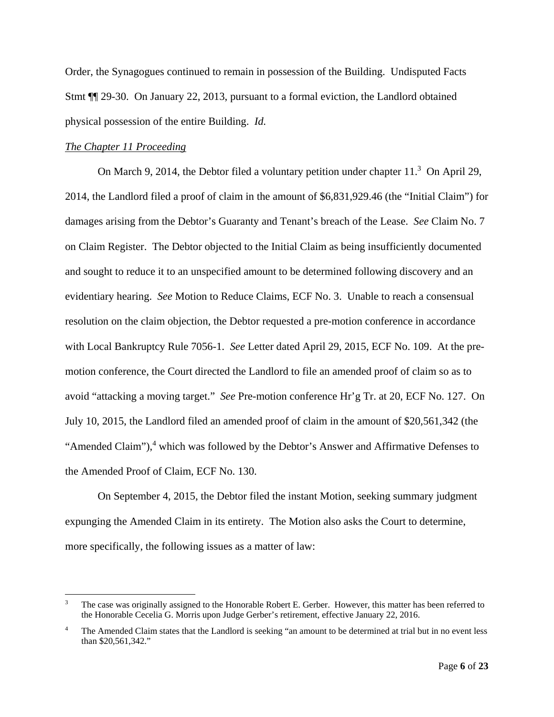Order, the Synagogues continued to remain in possession of the Building. Undisputed Facts Stmt ¶¶ 29-30. On January 22, 2013, pursuant to a formal eviction, the Landlord obtained physical possession of the entire Building. *Id.* 

#### *The Chapter 11 Proceeding*

<u>.</u>

On March 9, 2014, the Debtor filed a voluntary petition under chapter 11.<sup>3</sup> On April 29, 2014, the Landlord filed a proof of claim in the amount of \$6,831,929.46 (the "Initial Claim") for damages arising from the Debtor's Guaranty and Tenant's breach of the Lease. *See* Claim No. 7 on Claim Register. The Debtor objected to the Initial Claim as being insufficiently documented and sought to reduce it to an unspecified amount to be determined following discovery and an evidentiary hearing. *See* Motion to Reduce Claims, ECF No. 3. Unable to reach a consensual resolution on the claim objection, the Debtor requested a pre-motion conference in accordance with Local Bankruptcy Rule 7056-1. *See* Letter dated April 29, 2015, ECF No. 109. At the premotion conference, the Court directed the Landlord to file an amended proof of claim so as to avoid "attacking a moving target." *See* Pre-motion conference Hr'g Tr. at 20, ECF No. 127. On July 10, 2015, the Landlord filed an amended proof of claim in the amount of \$20,561,342 (the "Amended Claim"), $4$  which was followed by the Debtor's Answer and Affirmative Defenses to the Amended Proof of Claim, ECF No. 130.

 On September 4, 2015, the Debtor filed the instant Motion, seeking summary judgment expunging the Amended Claim in its entirety. The Motion also asks the Court to determine, more specifically, the following issues as a matter of law:

<sup>3</sup> The case was originally assigned to the Honorable Robert E. Gerber. However, this matter has been referred to the Honorable Cecelia G. Morris upon Judge Gerber's retirement, effective January 22, 2016.

<sup>4</sup> The Amended Claim states that the Landlord is seeking "an amount to be determined at trial but in no event less than \$20,561,342."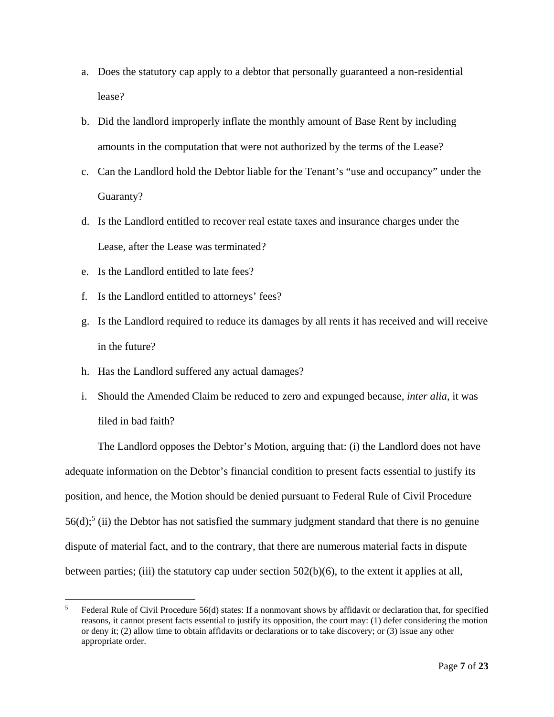- a. Does the statutory cap apply to a debtor that personally guaranteed a non-residential lease?
- b. Did the landlord improperly inflate the monthly amount of Base Rent by including amounts in the computation that were not authorized by the terms of the Lease?
- c. Can the Landlord hold the Debtor liable for the Tenant's "use and occupancy" under the Guaranty?
- d. Is the Landlord entitled to recover real estate taxes and insurance charges under the Lease, after the Lease was terminated?
- e. Is the Landlord entitled to late fees?

 $\overline{a}$ 

- f. Is the Landlord entitled to attorneys' fees?
- g. Is the Landlord required to reduce its damages by all rents it has received and will receive in the future?
- h. Has the Landlord suffered any actual damages?
- i. Should the Amended Claim be reduced to zero and expunged because, *inter alia*, it was filed in bad faith?

The Landlord opposes the Debtor's Motion, arguing that: (i) the Landlord does not have adequate information on the Debtor's financial condition to present facts essential to justify its position, and hence, the Motion should be denied pursuant to Federal Rule of Civil Procedure  $56(d)$ ; (ii) the Debtor has not satisfied the summary judgment standard that there is no genuine dispute of material fact, and to the contrary, that there are numerous material facts in dispute between parties; (iii) the statutory cap under section  $502(b)(6)$ , to the extent it applies at all,

<sup>5</sup> Federal Rule of Civil Procedure 56(d) states: If a nonmovant shows by affidavit or declaration that, for specified reasons, it cannot present facts essential to justify its opposition, the court may: (1) defer considering the motion or deny it; (2) allow time to obtain affidavits or declarations or to take discovery; or (3) issue any other appropriate order.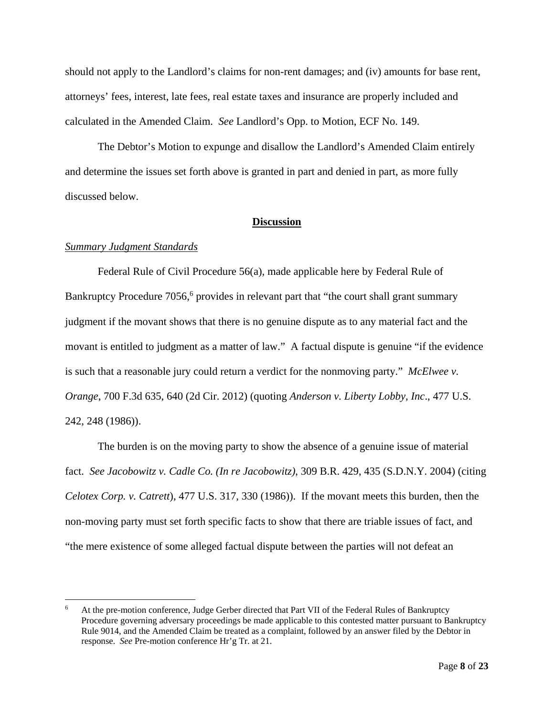should not apply to the Landlord's claims for non-rent damages; and (iv) amounts for base rent, attorneys' fees, interest, late fees, real estate taxes and insurance are properly included and calculated in the Amended Claim. *See* Landlord's Opp. to Motion, ECF No. 149.

 The Debtor's Motion to expunge and disallow the Landlord's Amended Claim entirely and determine the issues set forth above is granted in part and denied in part, as more fully discussed below.

#### **Discussion**

#### *Summary Judgment Standards*

 $\overline{a}$ 

Federal Rule of Civil Procedure 56(a), made applicable here by Federal Rule of Bankruptcy Procedure 7056,<sup>6</sup> provides in relevant part that "the court shall grant summary judgment if the movant shows that there is no genuine dispute as to any material fact and the movant is entitled to judgment as a matter of law." A factual dispute is genuine "if the evidence is such that a reasonable jury could return a verdict for the nonmoving party." *McElwee v. Orange*, 700 F.3d 635, 640 (2d Cir. 2012) (quoting *Anderson v. Liberty Lobby, Inc*., 477 U.S. 242, 248 (1986)).

The burden is on the moving party to show the absence of a genuine issue of material fact. *See Jacobowitz v. Cadle Co. (In re Jacobowitz)*, 309 B.R. 429, 435 (S.D.N.Y. 2004) (citing *Celotex Corp. v. Catrett*), 477 U.S. 317, 330 (1986)). If the movant meets this burden, then the non-moving party must set forth specific facts to show that there are triable issues of fact, and "the mere existence of some alleged factual dispute between the parties will not defeat an

<sup>6</sup> At the pre-motion conference, Judge Gerber directed that Part VII of the Federal Rules of Bankruptcy Procedure governing adversary proceedings be made applicable to this contested matter pursuant to Bankruptcy Rule 9014, and the Amended Claim be treated as a complaint, followed by an answer filed by the Debtor in response. *See* Pre-motion conference Hr'g Tr. at 21.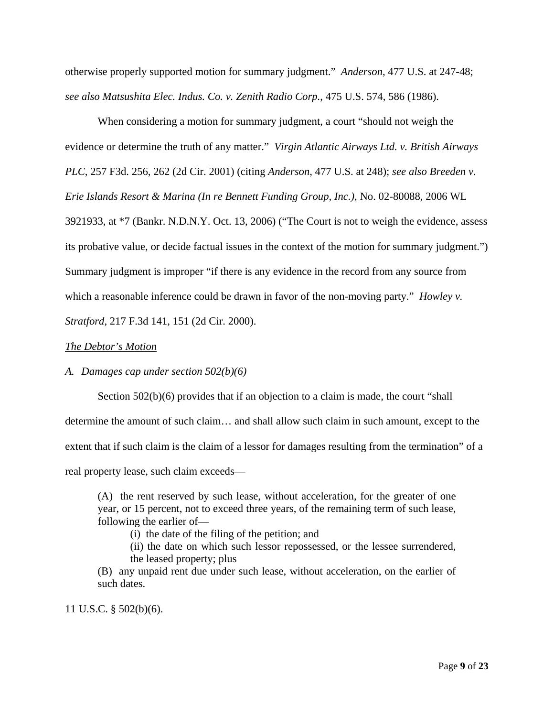otherwise properly supported motion for summary judgment." *Anderson*, 477 U.S. at 247-48; *see also Matsushita Elec. Indus. Co. v. Zenith Radio Corp.*, 475 U.S. 574, 586 (1986).

When considering a motion for summary judgment, a court "should not weigh the evidence or determine the truth of any matter." *Virgin Atlantic Airways Ltd. v. British Airways PLC*, 257 F3d. 256, 262 (2d Cir. 2001) (citing *Anderson*, 477 U.S. at 248); *see also Breeden v. Erie Islands Resort & Marina (In re Bennett Funding Group, Inc.)*, No. 02-80088, 2006 WL 3921933, at \*7 (Bankr. N.D.N.Y. Oct. 13, 2006) ("The Court is not to weigh the evidence, assess its probative value, or decide factual issues in the context of the motion for summary judgment.") Summary judgment is improper "if there is any evidence in the record from any source from which a reasonable inference could be drawn in favor of the non-moving party." *Howley v. Stratford*, 217 F.3d 141, 151 (2d Cir. 2000).

#### *The Debtor's Motion*

#### *A. Damages cap under section 502(b)(6)*

Section 502(b)(6) provides that if an objection to a claim is made, the court "shall determine the amount of such claim… and shall allow such claim in such amount, except to the extent that if such claim is the claim of a lessor for damages resulting from the termination" of a real property lease, such claim exceeds—

(A) the rent reserved by such lease, without acceleration, for the greater of one year, or 15 percent, not to exceed three years, of the remaining term of such lease, following the earlier of—

(i) the date of the filing of the petition; and

(ii) the date on which such lessor repossessed, or the lessee surrendered, the leased property; plus

(B) any unpaid rent due under such lease, without acceleration, on the earlier of such dates.

11 U.S.C. § 502(b)(6).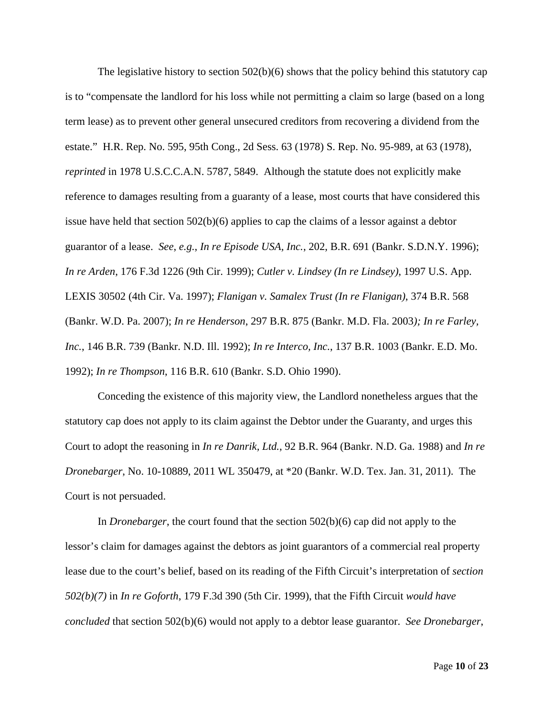The legislative history to section  $502(b)(6)$  shows that the policy behind this statutory cap is to "compensate the landlord for his loss while not permitting a claim so large (based on a long term lease) as to prevent other general unsecured creditors from recovering a dividend from the estate." H.R. Rep. No. 595, 95th Cong., 2d Sess. 63 (1978) S. Rep. No. 95-989, at 63 (1978), *reprinted* in 1978 U.S.C.C.A.N. 5787, 5849. Although the statute does not explicitly make reference to damages resulting from a guaranty of a lease, most courts that have considered this issue have held that section  $502(b)(6)$  applies to cap the claims of a lessor against a debtor guarantor of a lease. *See*, *e.g.*, *In re Episode USA, Inc.*, 202, B.R. 691 (Bankr. S.D.N.Y. 1996); *In re Arden*, 176 F.3d 1226 (9th Cir. 1999); *Cutler v. Lindsey (In re Lindsey)*, 1997 U.S. App. LEXIS 30502 (4th Cir. Va. 1997); *Flanigan v. Samalex Trust (In re Flanigan)*, 374 B.R. 568 (Bankr. W.D. Pa. 2007); *In re Henderson*, 297 B.R. 875 (Bankr. M.D. Fla. 2003*); In re Farley, Inc.*, 146 B.R. 739 (Bankr. N.D. Ill. 1992); *In re Interco, Inc.*, 137 B.R. 1003 (Bankr. E.D. Mo. 1992); *In re Thompson*, 116 B.R. 610 (Bankr. S.D. Ohio 1990).

 Conceding the existence of this majority view, the Landlord nonetheless argues that the statutory cap does not apply to its claim against the Debtor under the Guaranty, and urges this Court to adopt the reasoning in *In re Danrik, Ltd.*, 92 B.R. 964 (Bankr. N.D. Ga. 1988) and *In re Dronebarger*, No. 10-10889, 2011 WL 350479, at \*20 (Bankr. W.D. Tex. Jan. 31, 2011). The Court is not persuaded.

 In *Dronebarger*, the court found that the section 502(b)(6) cap did not apply to the lessor's claim for damages against the debtors as joint guarantors of a commercial real property lease due to the court's belief, based on its reading of the Fifth Circuit's interpretation of *section 502(b)(7)* in *In re Goforth*, 179 F.3d 390 (5th Cir. 1999), that the Fifth Circuit *would have concluded* that section 502(b)(6) would not apply to a debtor lease guarantor. *See Dronebarger*,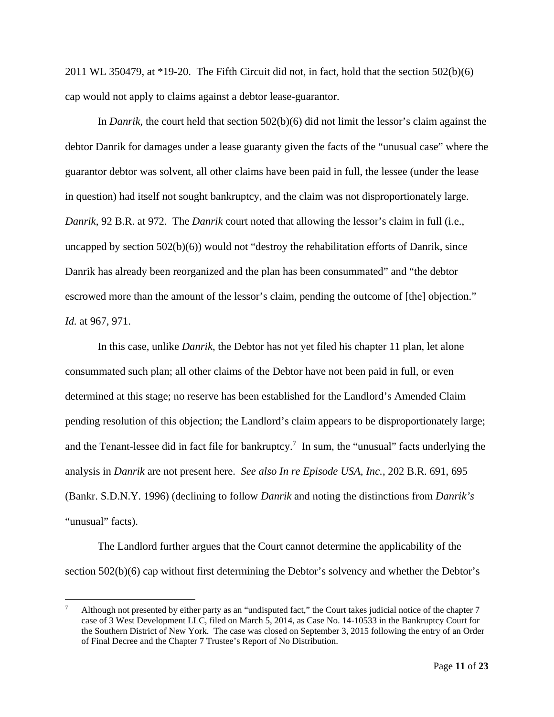2011 WL 350479, at \*19-20. The Fifth Circuit did not, in fact, hold that the section 502(b)(6) cap would not apply to claims against a debtor lease-guarantor.

 In *Danrik*, the court held that section 502(b)(6) did not limit the lessor's claim against the debtor Danrik for damages under a lease guaranty given the facts of the "unusual case" where the guarantor debtor was solvent, all other claims have been paid in full, the lessee (under the lease in question) had itself not sought bankruptcy, and the claim was not disproportionately large. *Danrik*, 92 B.R. at 972. The *Danrik* court noted that allowing the lessor's claim in full (i.e., uncapped by section  $502(b)(6)$ ) would not "destroy the rehabilitation efforts of Danrik, since Danrik has already been reorganized and the plan has been consummated" and "the debtor escrowed more than the amount of the lessor's claim, pending the outcome of [the] objection." *Id.* at 967, 971.

In this case, unlike *Danrik*, the Debtor has not yet filed his chapter 11 plan, let alone consummated such plan; all other claims of the Debtor have not been paid in full, or even determined at this stage; no reserve has been established for the Landlord's Amended Claim pending resolution of this objection; the Landlord's claim appears to be disproportionately large; and the Tenant-lessee did in fact file for bankruptcy.<sup>7</sup> In sum, the "unusual" facts underlying the analysis in *Danrik* are not present here. *See also In re Episode USA, Inc.*, 202 B.R. 691, 695 (Bankr. S.D.N.Y. 1996) (declining to follow *Danrik* and noting the distinctions from *Danrik's* "unusual" facts).

The Landlord further argues that the Court cannot determine the applicability of the section 502(b)(6) cap without first determining the Debtor's solvency and whether the Debtor's

 $\overline{a}$ 

<sup>7</sup> Although not presented by either party as an "undisputed fact," the Court takes judicial notice of the chapter 7 case of 3 West Development LLC, filed on March 5, 2014, as Case No. 14-10533 in the Bankruptcy Court for the Southern District of New York. The case was closed on September 3, 2015 following the entry of an Order of Final Decree and the Chapter 7 Trustee's Report of No Distribution.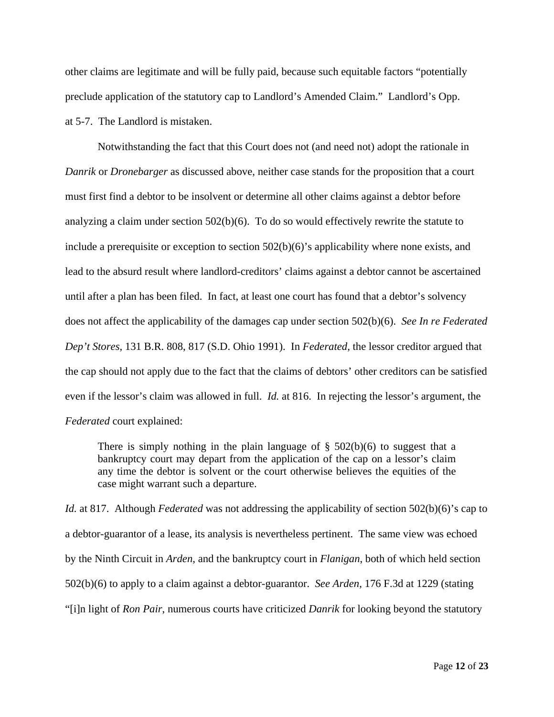other claims are legitimate and will be fully paid, because such equitable factors "potentially preclude application of the statutory cap to Landlord's Amended Claim." Landlord's Opp. at 5-7. The Landlord is mistaken.

Notwithstanding the fact that this Court does not (and need not) adopt the rationale in *Danrik* or *Dronebarger* as discussed above, neither case stands for the proposition that a court must first find a debtor to be insolvent or determine all other claims against a debtor before analyzing a claim under section  $502(b)(6)$ . To do so would effectively rewrite the statute to include a prerequisite or exception to section 502(b)(6)'s applicability where none exists, and lead to the absurd result where landlord-creditors' claims against a debtor cannot be ascertained until after a plan has been filed. In fact, at least one court has found that a debtor's solvency does not affect the applicability of the damages cap under section 502(b)(6). *See In re Federated Dep't Stores*, 131 B.R. 808, 817 (S.D. Ohio 1991). In *Federated*, the lessor creditor argued that the cap should not apply due to the fact that the claims of debtors' other creditors can be satisfied even if the lessor's claim was allowed in full. *Id.* at 816. In rejecting the lessor's argument, the *Federated* court explained:

There is simply nothing in the plain language of  $\S$  502(b)(6) to suggest that a bankruptcy court may depart from the application of the cap on a lessor's claim any time the debtor is solvent or the court otherwise believes the equities of the case might warrant such a departure.

*Id.* at 817. Although *Federated* was not addressing the applicability of section 502(b)(6)'s cap to a debtor-guarantor of a lease, its analysis is nevertheless pertinent. The same view was echoed by the Ninth Circuit in *Arden*, and the bankruptcy court in *Flanigan*, both of which held section 502(b)(6) to apply to a claim against a debtor-guarantor. *See Arden*, 176 F.3d at 1229 (stating "[i]n light of *Ron Pair*, numerous courts have criticized *Danrik* for looking beyond the statutory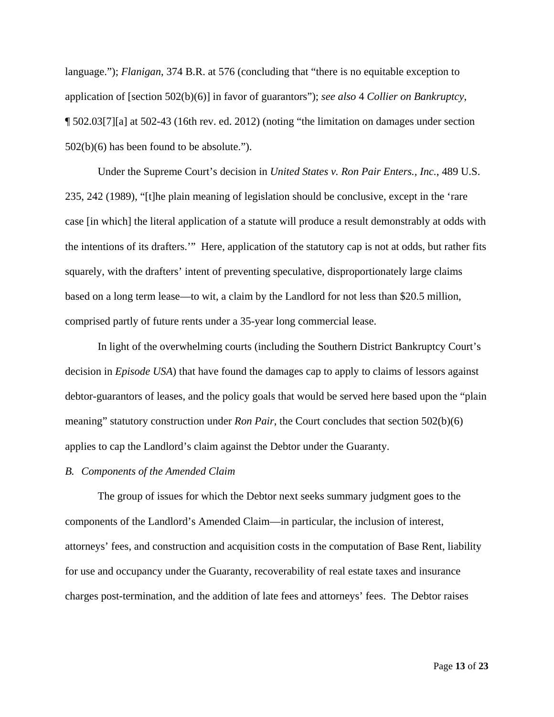language."); *Flanigan*, 374 B.R. at 576 (concluding that "there is no equitable exception to application of [section 502(b)(6)] in favor of guarantors"); *see also* 4 *Collier on Bankruptcy*, ¶ 502.03[7][a] at 502-43 (16th rev. ed. 2012) (noting "the limitation on damages under section 502(b)(6) has been found to be absolute.").

Under the Supreme Court's decision in *United States v. Ron Pair Enters., Inc.*, 489 U.S. 235, 242 (1989), "[t]he plain meaning of legislation should be conclusive, except in the 'rare case [in which] the literal application of a statute will produce a result demonstrably at odds with the intentions of its drafters.'" Here, application of the statutory cap is not at odds, but rather fits squarely, with the drafters' intent of preventing speculative, disproportionately large claims based on a long term lease—to wit, a claim by the Landlord for not less than \$20.5 million, comprised partly of future rents under a 35-year long commercial lease.

In light of the overwhelming courts (including the Southern District Bankruptcy Court's decision in *Episode USA*) that have found the damages cap to apply to claims of lessors against debtor-guarantors of leases, and the policy goals that would be served here based upon the "plain meaning" statutory construction under *Ron Pair*, the Court concludes that section 502(b)(6) applies to cap the Landlord's claim against the Debtor under the Guaranty.

#### *B. Components of the Amended Claim*

The group of issues for which the Debtor next seeks summary judgment goes to the components of the Landlord's Amended Claim—in particular, the inclusion of interest, attorneys' fees, and construction and acquisition costs in the computation of Base Rent, liability for use and occupancy under the Guaranty, recoverability of real estate taxes and insurance charges post-termination, and the addition of late fees and attorneys' fees. The Debtor raises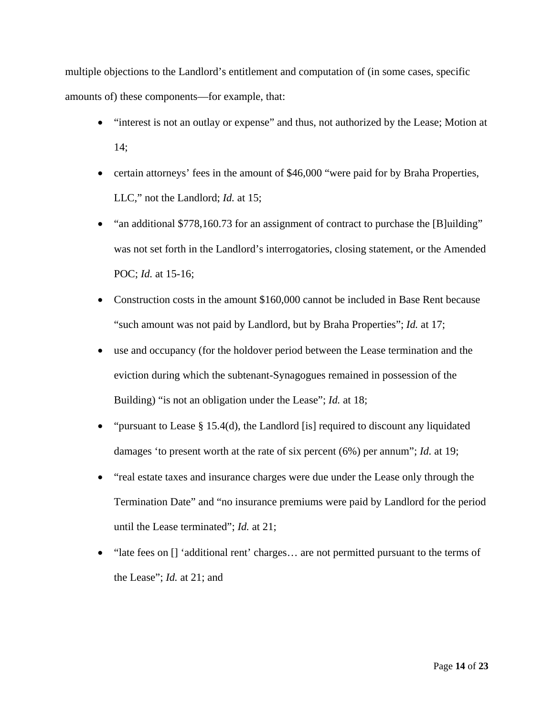multiple objections to the Landlord's entitlement and computation of (in some cases, specific amounts of) these components—for example, that:

- "interest is not an outlay or expense" and thus, not authorized by the Lease; Motion at 14;
- certain attorneys' fees in the amount of \$46,000 "were paid for by Braha Properties, LLC," not the Landlord; *Id.* at 15;
- "an additional \$778,160.73 for an assignment of contract to purchase the [B]uilding" was not set forth in the Landlord's interrogatories, closing statement, or the Amended POC; *Id.* at 15-16;
- Construction costs in the amount \$160,000 cannot be included in Base Rent because "such amount was not paid by Landlord, but by Braha Properties"; *Id.* at 17;
- use and occupancy (for the holdover period between the Lease termination and the eviction during which the subtenant-Synagogues remained in possession of the Building) "is not an obligation under the Lease"; *Id.* at 18;
- "pursuant to Lease  $\S 15.4(d)$ , the Landlord [is] required to discount any liquidated damages 'to present worth at the rate of six percent (6%) per annum"; *Id.* at 19;
- "real estate taxes and insurance charges were due under the Lease only through the Termination Date" and "no insurance premiums were paid by Landlord for the period until the Lease terminated"; *Id.* at 21;
- "late fees on [] 'additional rent' charges... are not permitted pursuant to the terms of the Lease"; *Id.* at 21; and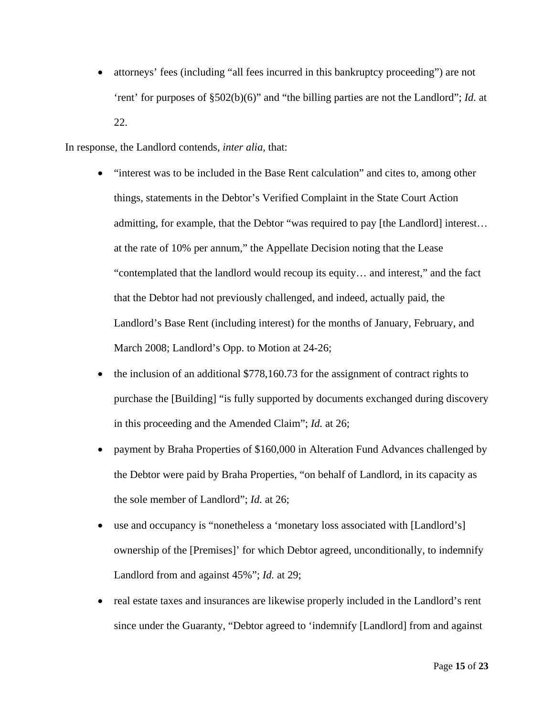• attorneys' fees (including "all fees incurred in this bankruptcy proceeding") are not 'rent' for purposes of §502(b)(6)" and "the billing parties are not the Landlord"; *Id.* at 22.

In response, the Landlord contends, *inter alia*, that:

- "interest was to be included in the Base Rent calculation" and cites to, among other things, statements in the Debtor's Verified Complaint in the State Court Action admitting, for example, that the Debtor "was required to pay [the Landlord] interest… at the rate of 10% per annum," the Appellate Decision noting that the Lease "contemplated that the landlord would recoup its equity… and interest," and the fact that the Debtor had not previously challenged, and indeed, actually paid, the Landlord's Base Rent (including interest) for the months of January, February, and March 2008; Landlord's Opp. to Motion at 24-26;
- $\bullet$  the inclusion of an additional \$778,160.73 for the assignment of contract rights to purchase the [Building] "is fully supported by documents exchanged during discovery in this proceeding and the Amended Claim"; *Id.* at 26;
- payment by Braha Properties of \$160,000 in Alteration Fund Advances challenged by the Debtor were paid by Braha Properties, "on behalf of Landlord, in its capacity as the sole member of Landlord"; *Id.* at 26;
- use and occupancy is "nonetheless a 'monetary loss associated with [Landlord's] ownership of the [Premises]' for which Debtor agreed, unconditionally, to indemnify Landlord from and against 45%"; *Id.* at 29;
- real estate taxes and insurances are likewise properly included in the Landlord's rent since under the Guaranty, "Debtor agreed to 'indemnify [Landlord] from and against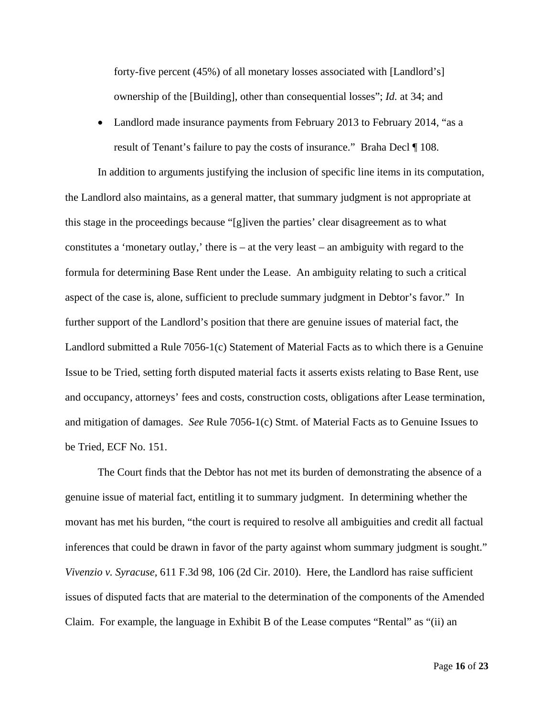forty-five percent (45%) of all monetary losses associated with [Landlord's] ownership of the [Building], other than consequential losses"; *Id.* at 34; and

 Landlord made insurance payments from February 2013 to February 2014, "as a result of Tenant's failure to pay the costs of insurance." Braha Decl ¶ 108.

In addition to arguments justifying the inclusion of specific line items in its computation, the Landlord also maintains, as a general matter, that summary judgment is not appropriate at this stage in the proceedings because "[g]iven the parties' clear disagreement as to what constitutes a 'monetary outlay,' there is – at the very least – an ambiguity with regard to the formula for determining Base Rent under the Lease. An ambiguity relating to such a critical aspect of the case is, alone, sufficient to preclude summary judgment in Debtor's favor." In further support of the Landlord's position that there are genuine issues of material fact, the Landlord submitted a Rule 7056-1(c) Statement of Material Facts as to which there is a Genuine Issue to be Tried, setting forth disputed material facts it asserts exists relating to Base Rent, use and occupancy, attorneys' fees and costs, construction costs, obligations after Lease termination, and mitigation of damages. *See* Rule 7056-1(c) Stmt. of Material Facts as to Genuine Issues to be Tried, ECF No. 151.

The Court finds that the Debtor has not met its burden of demonstrating the absence of a genuine issue of material fact, entitling it to summary judgment. In determining whether the movant has met his burden, "the court is required to resolve all ambiguities and credit all factual inferences that could be drawn in favor of the party against whom summary judgment is sought." *Vivenzio v. Syracuse,* 611 F.3d 98, 106 (2d Cir. 2010). Here, the Landlord has raise sufficient issues of disputed facts that are material to the determination of the components of the Amended Claim. For example, the language in Exhibit B of the Lease computes "Rental" as "(ii) an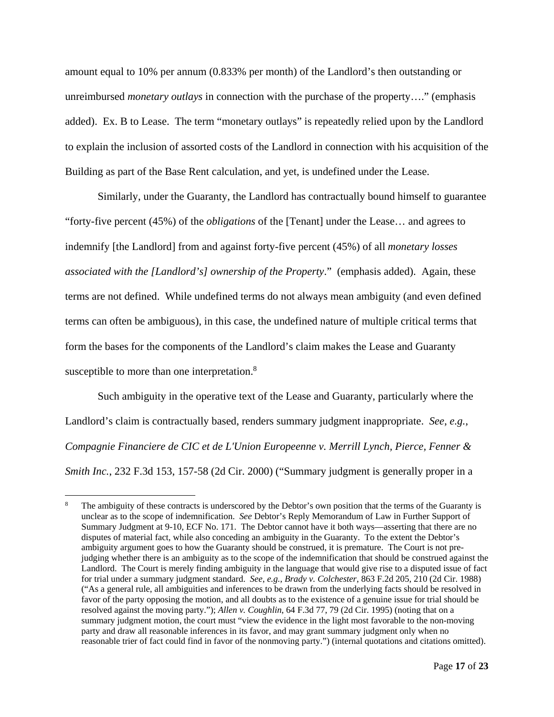amount equal to 10% per annum (0.833% per month) of the Landlord's then outstanding or unreimbursed *monetary outlays* in connection with the purchase of the property…." (emphasis added). Ex. B to Lease. The term "monetary outlays" is repeatedly relied upon by the Landlord to explain the inclusion of assorted costs of the Landlord in connection with his acquisition of the Building as part of the Base Rent calculation, and yet, is undefined under the Lease.

Similarly, under the Guaranty, the Landlord has contractually bound himself to guarantee "forty-five percent (45%) of the *obligations* of the [Tenant] under the Lease… and agrees to indemnify [the Landlord] from and against forty-five percent (45%) of all *monetary losses associated with the [Landlord's] ownership of the Property*." (emphasis added). Again, these terms are not defined. While undefined terms do not always mean ambiguity (and even defined terms can often be ambiguous), in this case, the undefined nature of multiple critical terms that form the bases for the components of the Landlord's claim makes the Lease and Guaranty susceptible to more than one interpretation.<sup>8</sup>

Such ambiguity in the operative text of the Lease and Guaranty, particularly where the Landlord's claim is contractually based, renders summary judgment inappropriate. *See*, *e.g.*, *Compagnie Financiere de CIC et de L'Union Europeenne v. Merrill Lynch, Pierce, Fenner & Smith Inc.*, 232 F.3d 153, 157-58 (2d Cir. 2000) ("Summary judgment is generally proper in a

1

<sup>8</sup> The ambiguity of these contracts is underscored by the Debtor's own position that the terms of the Guaranty is unclear as to the scope of indemnification. *See* Debtor's Reply Memorandum of Law in Further Support of Summary Judgment at 9-10, ECF No. 171. The Debtor cannot have it both ways—asserting that there are no disputes of material fact, while also conceding an ambiguity in the Guaranty. To the extent the Debtor's ambiguity argument goes to how the Guaranty should be construed, it is premature. The Court is not prejudging whether there is an ambiguity as to the scope of the indemnification that should be construed against the Landlord. The Court is merely finding ambiguity in the language that would give rise to a disputed issue of fact for trial under a summary judgment standard. *See*, *e.g.*, *Brady v. Colchester*, 863 F.2d 205, 210 (2d Cir. 1988) ("As a general rule, all ambiguities and inferences to be drawn from the underlying facts should be resolved in favor of the party opposing the motion, and all doubts as to the existence of a genuine issue for trial should be resolved against the moving party."); *Allen v. Coughlin*, 64 F.3d 77, 79 (2d Cir. 1995) (noting that on a summary judgment motion, the court must "view the evidence in the light most favorable to the non-moving party and draw all reasonable inferences in its favor, and may grant summary judgment only when no reasonable trier of fact could find in favor of the nonmoving party.") (internal quotations and citations omitted).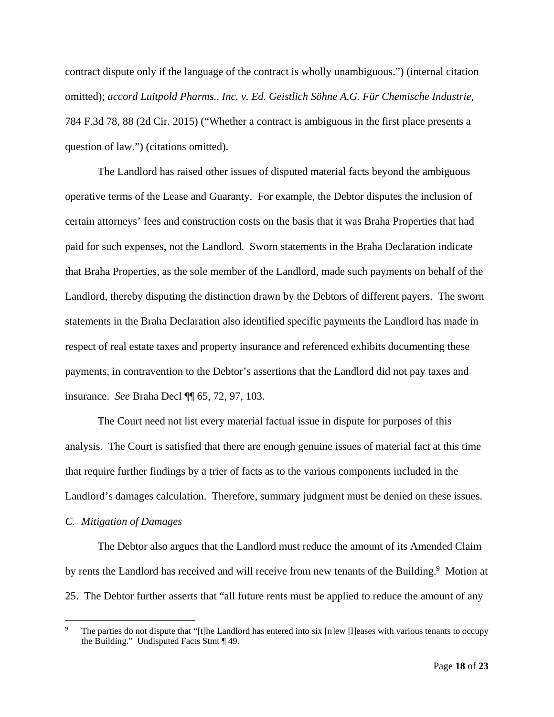contract dispute only if the language of the contract is wholly unambiguous.") (internal citation omitted); *accord Luitpold Pharms., Inc. v. Ed. Geistlich Söhne A.G. Für Chemische Industrie*, 784 F.3d 78, 88 (2d Cir. 2015) ("Whether a contract is ambiguous in the first place presents a question of law.") (citations omitted).

The Landlord has raised other issues of disputed material facts beyond the ambiguous operative terms of the Lease and Guaranty. For example, the Debtor disputes the inclusion of certain attorneys' fees and construction costs on the basis that it was Braha Properties that had paid for such expenses, not the Landlord. Sworn statements in the Braha Declaration indicate that Braha Properties, as the sole member of the Landlord, made such payments on behalf of the Landlord, thereby disputing the distinction drawn by the Debtors of different payers. The sworn statements in the Braha Declaration also identified specific payments the Landlord has made in respect of real estate taxes and property insurance and referenced exhibits documenting these payments, in contravention to the Debtor's assertions that the Landlord did not pay taxes and insurance. *See* Braha Decl ¶¶ 65, 72, 97, 103.

The Court need not list every material factual issue in dispute for purposes of this analysis. The Court is satisfied that there are enough genuine issues of material fact at this time that require further findings by a trier of facts as to the various components included in the Landlord's damages calculation. Therefore, summary judgment must be denied on these issues.

#### *C. Mitigation of Damages*

1

The Debtor also argues that the Landlord must reduce the amount of its Amended Claim by rents the Landlord has received and will receive from new tenants of the Building.<sup>9</sup> Motion at 25. The Debtor further asserts that "all future rents must be applied to reduce the amount of any

<sup>9</sup> The parties do not dispute that "[t]he Landlord has entered into six [n]ew [l]eases with various tenants to occupy the Building." Undisputed Facts Stmt ¶ 49.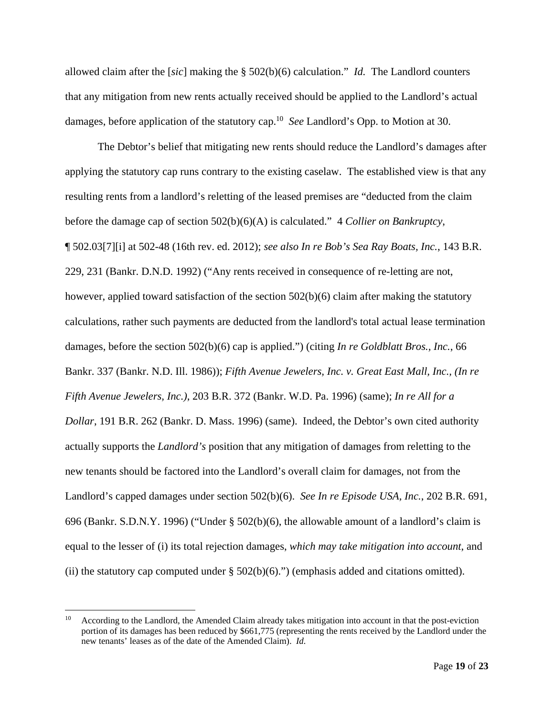allowed claim after the [*sic*] making the § 502(b)(6) calculation." *Id.* The Landlord counters that any mitigation from new rents actually received should be applied to the Landlord's actual damages, before application of the statutory cap.10 *See* Landlord's Opp. to Motion at 30.

The Debtor's belief that mitigating new rents should reduce the Landlord's damages after applying the statutory cap runs contrary to the existing caselaw. The established view is that any resulting rents from a landlord's reletting of the leased premises are "deducted from the claim before the damage cap of section 502(b)(6)(A) is calculated." 4 *Collier on Bankruptcy*, ¶ 502.03[7][i] at 502-48 (16th rev. ed. 2012); *see also In re Bob's Sea Ray Boats, Inc.*, 143 B.R. 229, 231 (Bankr. D.N.D. 1992) ("Any rents received in consequence of re-letting are not, however, applied toward satisfaction of the section 502(b)(6) claim after making the statutory calculations, rather such payments are deducted from the landlord's total actual lease termination damages, before the section 502(b)(6) cap is applied.") (citing *In re Goldblatt Bros., Inc.*, 66 Bankr. 337 (Bankr. N.D. Ill. 1986)); *Fifth Avenue Jewelers, Inc. v. Great East Mall, Inc., (In re Fifth Avenue Jewelers, Inc.)*, 203 B.R. 372 (Bankr. W.D. Pa. 1996) (same); *In re All for a Dollar*, 191 B.R. 262 (Bankr. D. Mass. 1996) (same). Indeed, the Debtor's own cited authority actually supports the *Landlord's* position that any mitigation of damages from reletting to the new tenants should be factored into the Landlord's overall claim for damages, not from the Landlord's capped damages under section 502(b)(6). *See In re Episode USA, Inc.*, 202 B.R. 691, 696 (Bankr. S.D.N.Y. 1996) ("Under § 502(b)(6), the allowable amount of a landlord's claim is equal to the lesser of (i) its total rejection damages, *which may take mitigation into account*, and (ii) the statutory cap computed under  $\S 502(b)(6)$ .") (emphasis added and citations omitted).

1

According to the Landlord, the Amended Claim already takes mitigation into account in that the post-eviction portion of its damages has been reduced by \$661,775 (representing the rents received by the Landlord under the new tenants' leases as of the date of the Amended Claim). *Id.*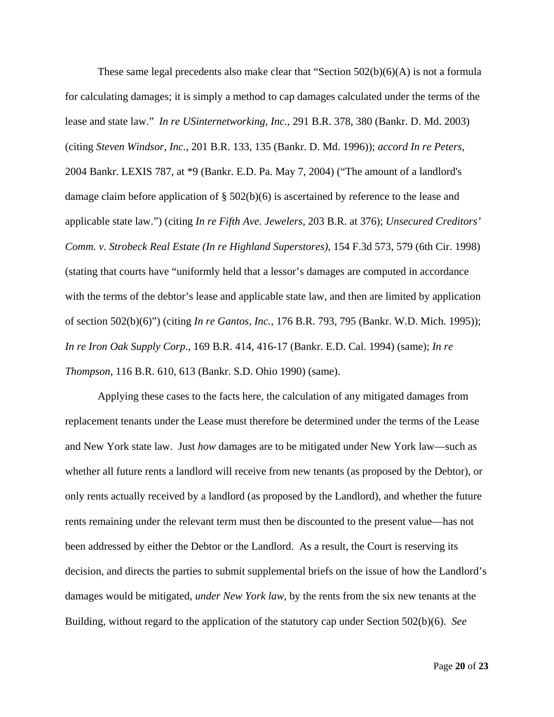These same legal precedents also make clear that "Section 502(b)(6)(A) is not a formula for calculating damages; it is simply a method to cap damages calculated under the terms of the lease and state law." *In re USinternetworking, Inc.*, 291 B.R. 378, 380 (Bankr. D. Md. 2003) (citing *Steven Windsor, Inc.*, 201 B.R. 133, 135 (Bankr. D. Md. 1996)); *accord In re Peters*, 2004 Bankr. LEXIS 787, at \*9 (Bankr. E.D. Pa. May 7, 2004) ("The amount of a landlord's damage claim before application of § 502(b)(6) is ascertained by reference to the lease and applicable state law.") (citing *In re Fifth Ave. Jewelers*, 203 B.R. at 376); *Unsecured Creditors' Comm. v. Strobeck Real Estate (In re Highland Superstores)*, 154 F.3d 573, 579 (6th Cir. 1998) (stating that courts have "uniformly held that a lessor's damages are computed in accordance with the terms of the debtor's lease and applicable state law, and then are limited by application of section 502(b)(6)") (citing *In re Gantos, Inc.*, 176 B.R. 793, 795 (Bankr. W.D. Mich. 1995)); *In re Iron Oak Supply Corp*., 169 B.R. 414, 416-17 (Bankr. E.D. Cal. 1994) (same); *In re Thompson*, 116 B.R. 610, 613 (Bankr. S.D. Ohio 1990) (same).

Applying these cases to the facts here, the calculation of any mitigated damages from replacement tenants under the Lease must therefore be determined under the terms of the Lease and New York state law. Just *how* damages are to be mitigated under New York law—such as whether all future rents a landlord will receive from new tenants (as proposed by the Debtor), or only rents actually received by a landlord (as proposed by the Landlord), and whether the future rents remaining under the relevant term must then be discounted to the present value—has not been addressed by either the Debtor or the Landlord. As a result, the Court is reserving its decision, and directs the parties to submit supplemental briefs on the issue of how the Landlord's damages would be mitigated, *under New York law*, by the rents from the six new tenants at the Building, without regard to the application of the statutory cap under Section 502(b)(6). *See*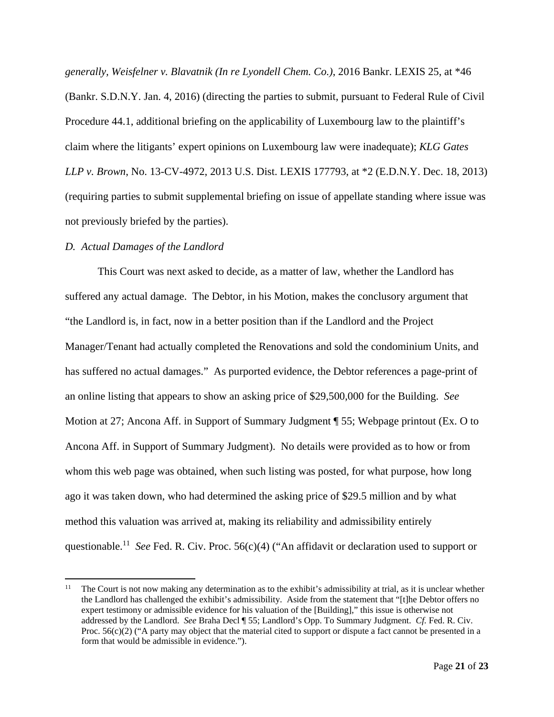*generally, Weisfelner v. Blavatnik (In re Lyondell Chem. Co.)*, 2016 Bankr. LEXIS 25, at \*46 (Bankr. S.D.N.Y. Jan. 4, 2016) (directing the parties to submit, pursuant to Federal Rule of Civil Procedure 44.1, additional briefing on the applicability of Luxembourg law to the plaintiff's claim where the litigants' expert opinions on Luxembourg law were inadequate); *KLG Gates LLP v. Brown*, No. 13-CV-4972, 2013 U.S. Dist. LEXIS 177793, at \*2 (E.D.N.Y. Dec. 18, 2013) (requiring parties to submit supplemental briefing on issue of appellate standing where issue was not previously briefed by the parties).

#### *D. Actual Damages of the Landlord*

1

This Court was next asked to decide, as a matter of law, whether the Landlord has suffered any actual damage. The Debtor, in his Motion, makes the conclusory argument that "the Landlord is, in fact, now in a better position than if the Landlord and the Project Manager/Tenant had actually completed the Renovations and sold the condominium Units, and has suffered no actual damages." As purported evidence, the Debtor references a page-print of an online listing that appears to show an asking price of \$29,500,000 for the Building. *See* Motion at 27; Ancona Aff. in Support of Summary Judgment ¶ 55; Webpage printout (Ex. O to Ancona Aff. in Support of Summary Judgment). No details were provided as to how or from whom this web page was obtained, when such listing was posted, for what purpose, how long ago it was taken down, who had determined the asking price of \$29.5 million and by what method this valuation was arrived at, making its reliability and admissibility entirely questionable.<sup>11</sup> *See* Fed. R. Civ. Proc. 56(c)(4) ("An affidavit or declaration used to support or

<sup>&</sup>lt;sup>11</sup> The Court is not now making any determination as to the exhibit's admissibility at trial, as it is unclear whether the Landlord has challenged the exhibit's admissibility. Aside from the statement that "[t]he Debtor offers no expert testimony or admissible evidence for his valuation of the [Building]," this issue is otherwise not addressed by the Landlord. *See* Braha Decl ¶ 55; Landlord's Opp. To Summary Judgment. *Cf.* Fed. R. Civ. Proc. 56(c)(2) ("A party may object that the material cited to support or dispute a fact cannot be presented in a form that would be admissible in evidence.").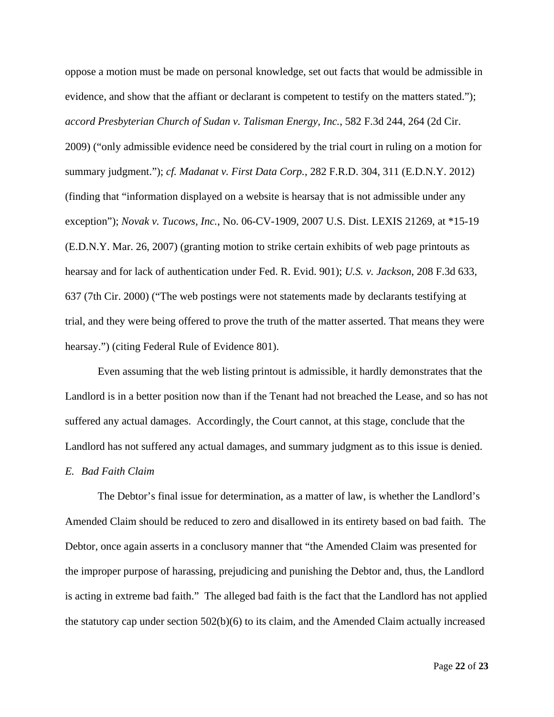oppose a motion must be made on personal knowledge, set out facts that would be admissible in evidence, and show that the affiant or declarant is competent to testify on the matters stated."); *accord Presbyterian Church of Sudan v. Talisman Energy, Inc.*, 582 F.3d 244, 264 (2d Cir. 2009) ("only admissible evidence need be considered by the trial court in ruling on a motion for summary judgment."); *cf. Madanat v. First Data Corp.*, 282 F.R.D. 304, 311 (E.D.N.Y. 2012) (finding that "information displayed on a website is hearsay that is not admissible under any exception"); *Novak v. Tucows, Inc.*, No. 06-CV-1909, 2007 U.S. Dist. LEXIS 21269, at \*15-19 (E.D.N.Y. Mar. 26, 2007) (granting motion to strike certain exhibits of web page printouts as hearsay and for lack of authentication under Fed. R. Evid. 901); *U.S. v. Jackson*, 208 F.3d 633, 637 (7th Cir. 2000) ("The web postings were not statements made by declarants testifying at trial, and they were being offered to prove the truth of the matter asserted. That means they were hearsay.") (citing Federal Rule of Evidence 801).

Even assuming that the web listing printout is admissible, it hardly demonstrates that the Landlord is in a better position now than if the Tenant had not breached the Lease, and so has not suffered any actual damages. Accordingly, the Court cannot, at this stage, conclude that the Landlord has not suffered any actual damages, and summary judgment as to this issue is denied.

## *E. Bad Faith Claim*

The Debtor's final issue for determination, as a matter of law, is whether the Landlord's Amended Claim should be reduced to zero and disallowed in its entirety based on bad faith. The Debtor, once again asserts in a conclusory manner that "the Amended Claim was presented for the improper purpose of harassing, prejudicing and punishing the Debtor and, thus, the Landlord is acting in extreme bad faith." The alleged bad faith is the fact that the Landlord has not applied the statutory cap under section 502(b)(6) to its claim, and the Amended Claim actually increased